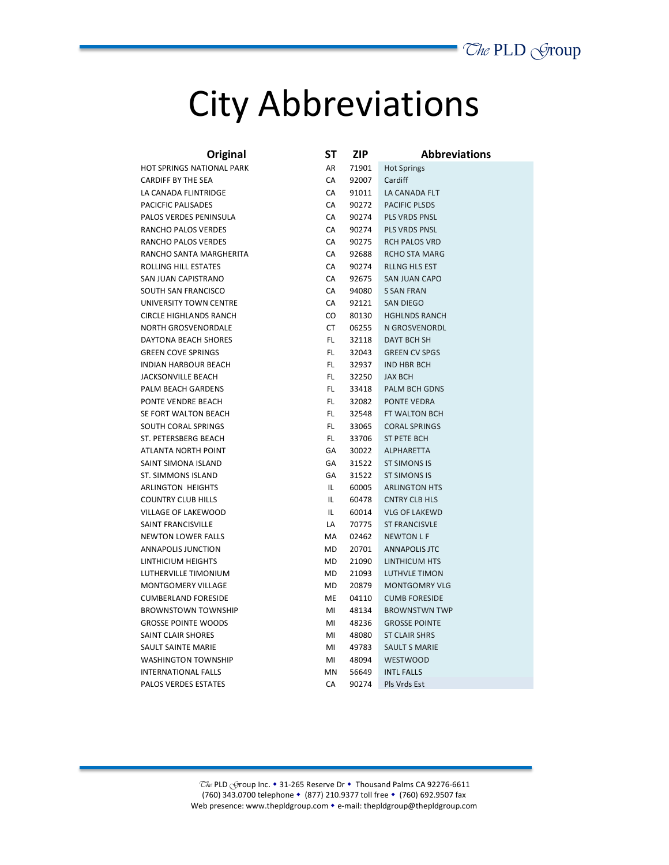## City Abbreviations

| Original                      | SΤ  | ZIP   | <b>Abbreviations</b> |
|-------------------------------|-----|-------|----------------------|
| HOT SPRINGS NATIONAL PARK     | AR  | 71901 | <b>Hot Springs</b>   |
| <b>CARDIFF BY THE SEA</b>     | CA  | 92007 | Cardiff              |
| LA CANADA FLINTRIDGE          | СA  | 91011 | LA CANADA FLT        |
| PACICFIC PALISADES            | CA  | 90272 | <b>PACIFIC PLSDS</b> |
| PALOS VERDES PENINSULA        | CA  | 90274 | <b>PLS VRDS PNSL</b> |
| RANCHO PALOS VERDES           | CA  | 90274 | PLS VRDS PNSL        |
| RANCHO PALOS VERDES           | CA  | 90275 | <b>RCH PALOS VRD</b> |
| RANCHO SANTA MARGHERITA       | CA  | 92688 | <b>RCHO STA MARG</b> |
| ROLLING HILL ESTATES          | CA  | 90274 | <b>RLLNG HLS EST</b> |
| SAN JUAN CAPISTRANO           | CA  | 92675 | <b>SAN JUAN CAPO</b> |
| SOUTH SAN FRANCISCO           | СA  | 94080 | <b>S SAN FRAN</b>    |
| UNIVERSITY TOWN CENTRE        | СA  | 92121 | <b>SAN DIEGO</b>     |
| <b>CIRCLE HIGHLANDS RANCH</b> | CO  | 80130 | <b>HGHLNDS RANCH</b> |
| <b>NORTH GROSVENORDALE</b>    | CT  | 06255 | N GROSVENORDL        |
| DAYTONA BEACH SHORES          | FL  | 32118 | <b>DAYT BCH SH</b>   |
| <b>GREEN COVE SPRINGS</b>     | FL  | 32043 | <b>GREEN CV SPGS</b> |
| <b>INDIAN HARBOUR BEACH</b>   | FL. | 32937 | <b>IND HBR BCH</b>   |
| <b>JACKSONVILLE BEACH</b>     | FL  | 32250 | <b>JAX BCH</b>       |
| PALM BEACH GARDENS            | FL. | 33418 | <b>PALM BCH GDNS</b> |
| PONTE VENDRE BEACH            | FL. | 32082 | <b>PONTE VEDRA</b>   |
| SE FORT WALTON BEACH          | FL  | 32548 | FT WALTON BCH        |
| SOUTH CORAL SPRINGS           | FL  | 33065 | <b>CORAL SPRINGS</b> |
| ST. PETERSBERG BEACH          | FL. | 33706 | <b>ST PETE BCH</b>   |
| <b>ATLANTA NORTH POINT</b>    | GA  | 30022 | <b>ALPHARETTA</b>    |
| SAINT SIMONA ISLAND           | GA  | 31522 | <b>ST SIMONS IS</b>  |
| ST. SIMMONS ISLAND            | GA  | 31522 | <b>ST SIMONS IS</b>  |
| <b>ARLINGTON HEIGHTS</b>      | IL  | 60005 | <b>ARLINGTON HTS</b> |
| <b>COUNTRY CLUB HILLS</b>     | IL  | 60478 | <b>CNTRY CLB HLS</b> |
| VILLAGE OF LAKEWOOD           | IL  | 60014 | <b>VLG OF LAKEWD</b> |
| SAINT FRANCISVILLE            | LA  | 70775 | <b>ST FRANCISVLE</b> |
| <b>NEWTON LOWER FALLS</b>     | МA  | 02462 | <b>NEWTON L F</b>    |
| ANNAPOLIS JUNCTION            | MD  | 20701 | <b>ANNAPOLIS JTC</b> |
| LINTHICIUM HEIGHTS            | MD  | 21090 | LINTHICUM HTS        |
| LUTHERVILLE TIMONIUM          | MD  | 21093 | <b>LUTHVLE TIMON</b> |
| <b>MONTGOMERY VILLAGE</b>     | MD  | 20879 | <b>MONTGOMRY VLG</b> |
| <b>CUMBERLAND FORESIDE</b>    | ME  | 04110 | <b>CUMB FORESIDE</b> |
| <b>BROWNSTOWN TOWNSHIP</b>    | MI  | 48134 | <b>BROWNSTWN TWP</b> |
| <b>GROSSE POINTE WOODS</b>    | MI  | 48236 | <b>GROSSE POINTE</b> |
| SAINT CLAIR SHORES            | MI  | 48080 | <b>ST CLAIR SHRS</b> |
| SAULT SAINTE MARIE            | MI  | 49783 | <b>SAULT S MARIE</b> |
| <b>WASHINGTON TOWNSHIP</b>    | MI  | 48094 | <b>WESTWOOD</b>      |
| <b>INTERNATIONAL FALLS</b>    | ΜN  | 56649 | <b>INTL FALLS</b>    |
| <b>PALOS VERDES ESTATES</b>   | СA  | 90274 | Pls Vrds Est         |